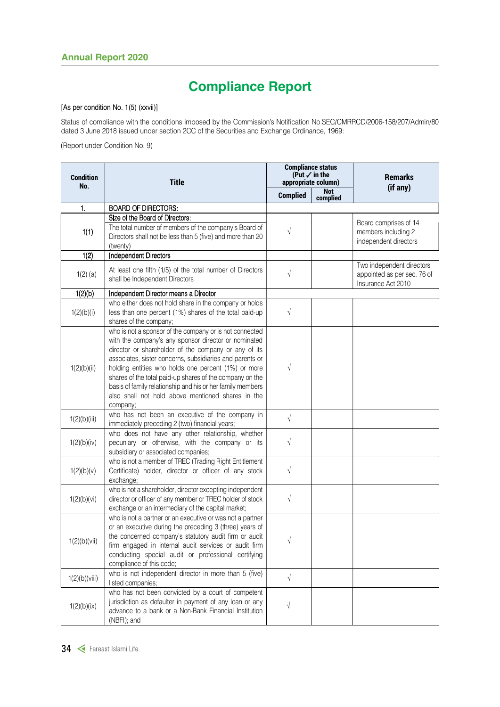# Compliance Report

#### [As per condition No. 1(5) (xxvii)]

 Status of compliance with the conditions imposed by the Commission's Notification No.SEC/CMRRCD/2006-158/207/Admin/80 dated 3 June 2018 issued under section 2CC of the Securities and Exchange Ordinance, 1969:

(Report under Condition No. 9)

| <b>Condition</b><br>No. | <b>Title</b>                                                                                                                                                                                                                                                                                                                                                                                                                                                                          | <b>Compliance status</b><br>(Put $\checkmark$ in the<br>appropriate column) |                 | <b>Remarks</b><br>(if any)                                                     |  |
|-------------------------|---------------------------------------------------------------------------------------------------------------------------------------------------------------------------------------------------------------------------------------------------------------------------------------------------------------------------------------------------------------------------------------------------------------------------------------------------------------------------------------|-----------------------------------------------------------------------------|-----------------|--------------------------------------------------------------------------------|--|
|                         |                                                                                                                                                                                                                                                                                                                                                                                                                                                                                       | <b>Complied</b>                                                             | Not<br>complied |                                                                                |  |
| 1.                      | <b>BOARD OF DIRECTORS:</b>                                                                                                                                                                                                                                                                                                                                                                                                                                                            |                                                                             |                 |                                                                                |  |
| 1(1)                    | Size of the Board of Directors:<br>The total number of members of the company's Board of<br>Directors shall not be less than 5 (five) and more than 20<br>(twenty)                                                                                                                                                                                                                                                                                                                    | $\sqrt{ }$                                                                  |                 | Board comprises of 14<br>members including 2<br>independent directors          |  |
| 1(2)                    | Independent Directors                                                                                                                                                                                                                                                                                                                                                                                                                                                                 |                                                                             |                 |                                                                                |  |
| $1(2)$ (a)              | At least one fifth (1/5) of the total number of Directors<br>shall be Independent Directors                                                                                                                                                                                                                                                                                                                                                                                           | $\sqrt{}$                                                                   |                 | Two independent directors<br>appointed as per sec. 76 of<br>Insurance Act 2010 |  |
| 1(2)(b)                 | Independent Director means a Director                                                                                                                                                                                                                                                                                                                                                                                                                                                 |                                                                             |                 |                                                                                |  |
| 1(2)(b)(i)              | who either does not hold share in the company or holds<br>less than one percent (1%) shares of the total paid-up<br>shares of the company;                                                                                                                                                                                                                                                                                                                                            | $\sqrt{ }$                                                                  |                 |                                                                                |  |
| 1(2)(b)(ii)             | who is not a sponsor of the company or is not connected<br>with the company's any sponsor director or nominated<br>director or shareholder of the company or any of its<br>associates, sister concerns, subsidiaries and parents or<br>holding entities who holds one percent (1%) or more<br>shares of the total paid-up shares of the company on the<br>basis of family relationship and his or her family members<br>also shall not hold above mentioned shares in the<br>company; | $\sqrt{}$                                                                   |                 |                                                                                |  |
| 1(2)(b)(iii)            | who has not been an executive of the company in<br>immediately preceding 2 (two) financial years;                                                                                                                                                                                                                                                                                                                                                                                     | $\sqrt{ }$                                                                  |                 |                                                                                |  |
| 1(2)(b)(iv)             | who does not have any other relationship, whether<br>pecuniary or otherwise, with the company or its<br>subsidiary or associated companies;                                                                                                                                                                                                                                                                                                                                           | $\sqrt{ }$                                                                  |                 |                                                                                |  |
| 1(2)(b)(v)              | who is not a member of TREC (Trading Right Entitlement<br>Certificate) holder, director or officer of any stock<br>exchange;                                                                                                                                                                                                                                                                                                                                                          | $\sqrt{}$                                                                   |                 |                                                                                |  |
| 1(2)(b)(vi)             | who is not a shareholder, director excepting independent<br>director or officer of any member or TREC holder of stock<br>exchange or an intermediary of the capital market;                                                                                                                                                                                                                                                                                                           | $\sqrt{ }$                                                                  |                 |                                                                                |  |
| 1(2)(b)(vii)            | who is not a partner or an executive or was not a partner<br>or an executive during the preceding 3 (three) years of<br>the concerned company's statutory audit firm or audit<br>firm engaged in internal audit services or audit firm<br>conducting special audit or professional certifying<br>compliance of this code;                                                                                                                                                             | $\sqrt{}$                                                                   |                 |                                                                                |  |
| 1(2)(b)(viii)           | who is not independent director in more than 5 (five)<br>listed companies;                                                                                                                                                                                                                                                                                                                                                                                                            | $\sqrt{ }$                                                                  |                 |                                                                                |  |
| 1(2)(b)(ix)             | who has not been convicted by a court of competent<br>jurisdiction as defaulter in payment of any loan or any<br>advance to a bank or a Non-Bank Financial Institution<br>(NBFI); and                                                                                                                                                                                                                                                                                                 | $\sqrt{2}$                                                                  |                 |                                                                                |  |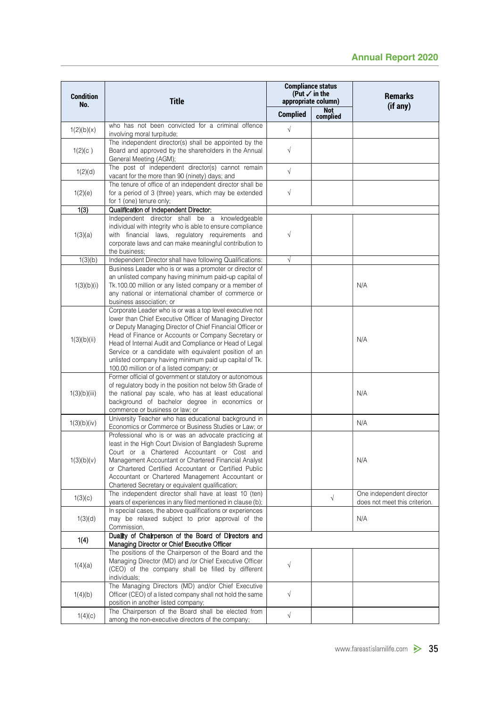|                         |                                                                                                                                                                                                                                                                                                                                                                                                                                                                   |                 |                                                                             | <b>Annual Report 2020</b>                                 |  |
|-------------------------|-------------------------------------------------------------------------------------------------------------------------------------------------------------------------------------------------------------------------------------------------------------------------------------------------------------------------------------------------------------------------------------------------------------------------------------------------------------------|-----------------|-----------------------------------------------------------------------------|-----------------------------------------------------------|--|
| <b>Condition</b><br>No. | <b>Title</b>                                                                                                                                                                                                                                                                                                                                                                                                                                                      |                 | <b>Compliance status</b><br>(Put $\checkmark$ in the<br>appropriate column) | <b>Remarks</b><br>(if any)                                |  |
|                         |                                                                                                                                                                                                                                                                                                                                                                                                                                                                   | <b>Complied</b> | <b>Not</b><br>complied                                                      |                                                           |  |
| 1(2)(b)(x)              | who has not been convicted for a criminal offence<br>involving moral turpitude;                                                                                                                                                                                                                                                                                                                                                                                   | $\sqrt{ }$      |                                                                             |                                                           |  |
| 1(2)(c)                 | The independent director(s) shall be appointed by the<br>Board and approved by the shareholders in the Annual<br>General Meeting (AGM);                                                                                                                                                                                                                                                                                                                           | $\sqrt{}$       |                                                                             |                                                           |  |
| 1(2)(d)                 | The post of independent director(s) cannot remain<br>vacant for the more than 90 (ninety) days; and                                                                                                                                                                                                                                                                                                                                                               | $\sqrt{}$       |                                                                             |                                                           |  |
| 1(2)(e)                 | The tenure of office of an independent director shall be<br>for a period of 3 (three) years, which may be extended<br>for 1 (one) tenure only;                                                                                                                                                                                                                                                                                                                    | $\sqrt{ }$      |                                                                             |                                                           |  |
| 1(3)                    | Qualification of Independent Director:                                                                                                                                                                                                                                                                                                                                                                                                                            |                 |                                                                             |                                                           |  |
| 1(3)(a)                 | Independent director shall be a knowledgeable<br>individual with integrity who is able to ensure compliance<br>with financial laws, regulatory requirements and<br>corporate laws and can make meaningful contribution to<br>the business:                                                                                                                                                                                                                        | $\sqrt{}$       |                                                                             |                                                           |  |
| 1(3)(b)                 | Independent Director shall have following Qualifications:                                                                                                                                                                                                                                                                                                                                                                                                         | $\sqrt{}$       |                                                                             |                                                           |  |
| 1(3)(b)(i)              | Business Leader who is or was a promoter or director of<br>an unlisted company having minimum paid-up capital of<br>Tk.100.00 million or any listed company or a member of<br>any national or international chamber of commerce or<br>business association; or                                                                                                                                                                                                    |                 |                                                                             | N/A                                                       |  |
| 1(3)(b)(ii)             | Corporate Leader who is or was a top level executive not<br>lower than Chief Executive Officer of Managing Director<br>or Deputy Managing Director of Chief Financial Officer or<br>Head of Finance or Accounts or Company Secretary or<br>Head of Internal Audit and Compliance or Head of Legal<br>Service or a candidate with equivalent position of an<br>unlisted company having minimum paid up capital of Tk.<br>100.00 million or of a listed company; or |                 |                                                                             | N/A                                                       |  |
| 1(3)(b)(iii)            | Former official of government or statutory or autonomous<br>of regulatory body in the position not below 5th Grade of<br>the national pay scale, who has at least educational<br>background of bachelor degree in economics or<br>commerce or business or law; or                                                                                                                                                                                                 |                 |                                                                             | N/A                                                       |  |
| 1(3)(b)(iv)             | University Teacher who has educational background in<br>Economics or Commerce or Business Studies or Law; or                                                                                                                                                                                                                                                                                                                                                      |                 |                                                                             | N/A                                                       |  |
| 1(3)(b)(v)              | Professional who is or was an advocate practicing at<br>least in the High Court Division of Bangladesh Supreme<br>Court or a Chartered Accountant or Cost and<br>Management Accountant or Chartered Financial Analyst<br>or Chartered Certified Accountant or Certified Public<br>Accountant or Chartered Management Accountant or<br>Chartered Secretary or equivalent qualification;                                                                            |                 |                                                                             | N/A                                                       |  |
| 1(3)(c)                 | The independent director shall have at least 10 (ten)<br>years of experiences in any filed mentioned in clause (b);                                                                                                                                                                                                                                                                                                                                               |                 | $\sqrt{}$                                                                   | One independent director<br>does not meet this criterion. |  |
| 1(3)(d)                 | In special cases, the above qualifications or experiences<br>may be relaxed subject to prior approval of the<br>Commission,                                                                                                                                                                                                                                                                                                                                       |                 |                                                                             | N/A                                                       |  |
| 1(4)                    | Duality of Chairperson of the Board of Directors and<br>Managing Director or Chief Executive Officer                                                                                                                                                                                                                                                                                                                                                              |                 |                                                                             |                                                           |  |
| 1(4)(a)                 | The positions of the Chairperson of the Board and the<br>Managing Director (MD) and /or Chief Executive Officer<br>(CEO) of the company shall be filled by different<br>individuals;                                                                                                                                                                                                                                                                              | $\sqrt{}$       |                                                                             |                                                           |  |
| 1(4)(b)                 | The Managing Directors (MD) and/or Chief Executive<br>Officer (CEO) of a listed company shall not hold the same<br>position in another listed company;                                                                                                                                                                                                                                                                                                            | $\sqrt{}$       |                                                                             |                                                           |  |
| 1(4)(c)                 | The Chairperson of the Board shall be elected from<br>among the non-executive directors of the company;                                                                                                                                                                                                                                                                                                                                                           | $\sqrt{}$       |                                                                             |                                                           |  |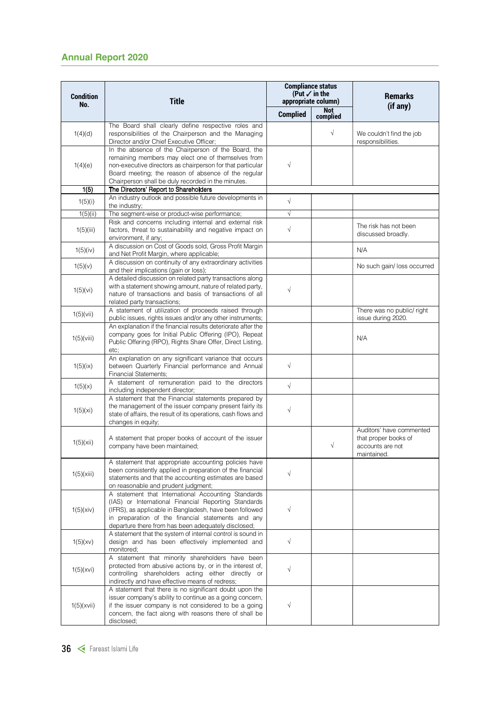| <b>Condition</b><br>No. | <b>Title</b>                                                                                                                                                                                                                                                                         |                 | <b>Compliance status</b><br>(Put $\checkmark$ in the<br>appropriate column) | <b>Remarks</b>                                                                      |
|-------------------------|--------------------------------------------------------------------------------------------------------------------------------------------------------------------------------------------------------------------------------------------------------------------------------------|-----------------|-----------------------------------------------------------------------------|-------------------------------------------------------------------------------------|
|                         |                                                                                                                                                                                                                                                                                      | <b>Complied</b> | Not<br>complied                                                             | (if any)                                                                            |
| 1(4)(d)                 | The Board shall clearly define respective roles and<br>responsibilities of the Chairperson and the Managing<br>Director and/or Chief Executive Officer;                                                                                                                              |                 | $\sqrt{}$                                                                   | We couldn't find the job<br>responsibilities.                                       |
| 1(4)(e)                 | In the absence of the Chairperson of the Board, the<br>remaining members may elect one of themselves from<br>non-executive directors as chairperson for that particular<br>Board meeting; the reason of absence of the regular<br>Chairperson shall be duly recorded in the minutes. | $\sqrt{ }$      |                                                                             |                                                                                     |
| 1(5)                    | The Directors' Report to Shareholders                                                                                                                                                                                                                                                |                 |                                                                             |                                                                                     |
| 1(5)(i)                 | An industry outlook and possible future developments in<br>the industry;                                                                                                                                                                                                             | $\sqrt{ }$      |                                                                             |                                                                                     |
| 1(5)(ii)                | The segment-wise or product-wise performance;                                                                                                                                                                                                                                        | $\sqrt{ }$      |                                                                             |                                                                                     |
| 1(5)(iii)               | Risk and concerns including internal and external risk<br>factors, threat to sustainability and negative impact on<br>environment, if any;                                                                                                                                           | $\sqrt{ }$      |                                                                             | The risk has not been<br>discussed broadly.                                         |
| 1(5)(iv)                | A discussion on Cost of Goods sold, Gross Profit Margin<br>and Net Profit Margin, where applicable;                                                                                                                                                                                  |                 |                                                                             | N/A                                                                                 |
| 1(5)(v)                 | A discussion on continuity of any extraordinary activities<br>and their implications (gain or loss);                                                                                                                                                                                 |                 |                                                                             | No such gain/ loss occurred                                                         |
| 1(5)(vi)                | A detailed discussion on related party transactions along<br>with a statement showing amount, nature of related party,<br>nature of transactions and basis of transactions of all<br>related party transactions;                                                                     | $\sqrt{ }$      |                                                                             |                                                                                     |
| $1(5)(\forall i)$       | A statement of utilization of proceeds raised through<br>public issues, rights issues and/or any other instruments;                                                                                                                                                                  |                 |                                                                             | There was no public/ right<br>issue during 2020.                                    |
| 1(5)(viii)              | An explanation if the financial results deteriorate after the<br>company goes for Initial Public Offering (IPO), Repeat<br>Public Offering (RPO), Rights Share Offer, Direct Listing,<br>etc;                                                                                        |                 |                                                                             | N/A                                                                                 |
| 1(5)(ix)                | An explanation on any significant variance that occurs<br>between Quarterly Financial performance and Annual<br><b>Financial Statements:</b>                                                                                                                                         | $\sqrt{ }$      |                                                                             |                                                                                     |
| 1(5)(x)                 | A statement of remuneration paid to the directors<br>including independent director;                                                                                                                                                                                                 | $\sqrt{}$       |                                                                             |                                                                                     |
| 1(5)(xi)                | A statement that the Financial statements prepared by<br>the management of the issuer company present fairly its<br>state of affairs, the result of its operations, cash flows and<br>changes in equity;                                                                             | $\sqrt{}$       |                                                                             |                                                                                     |
| 1(5)(xii)               | A statement that proper books of account of the issuer<br>company have been maintained;                                                                                                                                                                                              |                 | $\sqrt{ }$                                                                  | Auditors' have commented<br>that proper books of<br>accounts are not<br>maintained. |
| 1(5)(xiii)              | A statement that appropriate accounting policies have<br>been consistently applied in preparation of the financial<br>statements and that the accounting estimates are based<br>on reasonable and prudent judgment;                                                                  | $\sqrt{ }$      |                                                                             |                                                                                     |
| 1(5)(xiv)               | A statement that International Accounting Standards<br>(IAS) or International Financial Reporting Standards<br>(IFRS), as applicable in Bangladesh, have been followed<br>in preparation of the financial statements and any<br>departure there from has been adequately disclosed;  | $\sqrt{ }$      |                                                                             |                                                                                     |
| 1(5)(xy)                | A statement that the system of internal control is sound in<br>design and has been effectively implemented and<br>monitored;                                                                                                                                                         | $\sqrt{ }$      |                                                                             |                                                                                     |
| 1(5)(xvi)               | A statement that minority shareholders have been<br>protected from abusive actions by, or in the interest of,<br>controlling shareholders acting either directly or<br>indirectly and have effective means of redress;                                                               | $\sqrt{ }$      |                                                                             |                                                                                     |
| 1(5)(xvi)               | A statement that there is no significant doubt upon the<br>issuer company's ability to continue as a going concern,<br>if the issuer company is not considered to be a going<br>concern, the fact along with reasons there of shall be<br>disclosed;                                 | $\sqrt{ }$      |                                                                             |                                                                                     |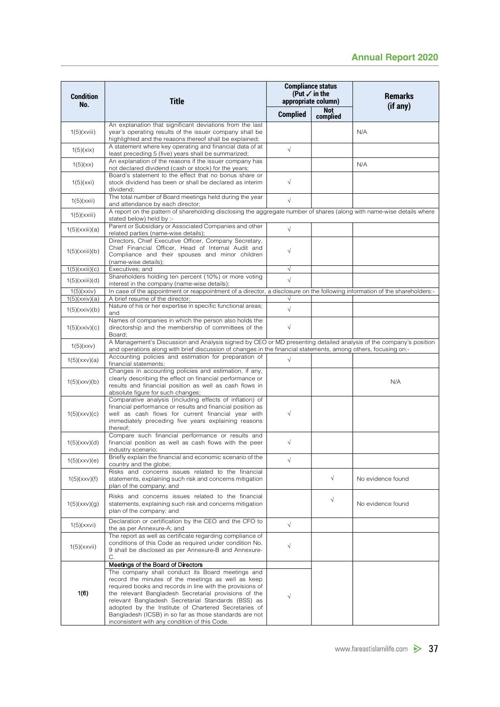|                           |                                                                                                                                                                                                                                                                                                                                                                                                      |                 |                                                                                                       |     | <b>Annual Report 2020</b>  |
|---------------------------|------------------------------------------------------------------------------------------------------------------------------------------------------------------------------------------------------------------------------------------------------------------------------------------------------------------------------------------------------------------------------------------------------|-----------------|-------------------------------------------------------------------------------------------------------|-----|----------------------------|
| <b>Condition</b><br>No.   | <b>Title</b>                                                                                                                                                                                                                                                                                                                                                                                         | <b>Complied</b> | <b>Compliance status</b><br>(Put $\checkmark$ in the<br>appropriate column)<br><b>Not</b><br>complied |     | <b>Remarks</b><br>(if any) |
| 1(5)(xviii)               | An explanation that significant deviations from the last<br>year's operating results of the issuer company shall be<br>highlighted and the reasons thereof shall be explained;                                                                                                                                                                                                                       |                 |                                                                                                       | N/A |                            |
| 1(5)(xix)                 | A statement where key operating and financial data of at<br>least preceding 5 (five) years shall be summarized;                                                                                                                                                                                                                                                                                      | $\sqrt{ }$      |                                                                                                       |     |                            |
| 1(5)(xx)                  | An explanation of the reasons if the issuer company has<br>not declared dividend (cash or stock) for the years;                                                                                                                                                                                                                                                                                      |                 |                                                                                                       | N/A |                            |
| 1(5)(xxi)                 | Board's statement to the effect that no bonus share or<br>stock dividend has been or shall be declared as interim<br>dividend;                                                                                                                                                                                                                                                                       | $\sqrt{ }$      |                                                                                                       |     |                            |
| 1(5)(xxii)                | The total number of Board meetings held during the year                                                                                                                                                                                                                                                                                                                                              | $\sqrt{ }$      |                                                                                                       |     |                            |
| 1(5)(xxiii)               | and attendance by each director;<br>A report on the pattern of shareholding disclosing the aggregate number of shares (along with name-wise details where<br>stated below) held by :-                                                                                                                                                                                                                |                 |                                                                                                       |     |                            |
| 1(5)(xxiii)(a)            | Parent or Subsidiary or Associated Companies and other<br>related parties (name-wise details);                                                                                                                                                                                                                                                                                                       | $\sqrt{ }$      |                                                                                                       |     |                            |
| 1(5)(xxiii)(b)            | Directors, Chief Executive Officer, Company Secretary,<br>Chief Financial Officer, Head of Internal Audit and<br>Compliance and their spouses and minor children<br>(name-wise details);                                                                                                                                                                                                             | $\sqrt{ }$      |                                                                                                       |     |                            |
| 1(5)(xxiii)(c)            | Executives; and                                                                                                                                                                                                                                                                                                                                                                                      | $\sqrt{ }$      |                                                                                                       |     |                            |
| 1(5)(xxiii)(d)            | Shareholders holding ten percent (10%) or more voting<br>interest in the company (name-wise details);                                                                                                                                                                                                                                                                                                | $\sqrt{ }$      |                                                                                                       |     |                            |
| 1(5)(xxx)<br>1(5)(xxx)(a) | In case of the appointment or reappointment of a director, a disclosure on the following information of the shareholders:-<br>A brief resume of the director;                                                                                                                                                                                                                                        |                 |                                                                                                       |     |                            |
| 1(5)(xxx)(b)              | Nature of his or her expertise in specific functional areas;<br>and                                                                                                                                                                                                                                                                                                                                  | $\sqrt{ }$      |                                                                                                       |     |                            |
| 1(5)(xxx)(c)              | Names of companies in which the person also holds the<br>directorship and the membership of committees of the<br>Board;                                                                                                                                                                                                                                                                              | $\sqrt{}$       |                                                                                                       |     |                            |
| 1(5)(xxx)                 | A Management's Discussion and Analysis signed by CEO or MD presenting detailed analysis of the company's position<br>and operations along with brief discussion of changes in the financial statements, among others, focusing on:-                                                                                                                                                                  |                 |                                                                                                       |     |                            |
| 1(5)(xxx)(a)              | Accounting policies and estimation for preparation of<br>financial statements;                                                                                                                                                                                                                                                                                                                       | $\sqrt{ }$      |                                                                                                       |     |                            |
| 1(5)(xxx)(b)              | Changes in accounting policies and estimation, if any,<br>clearly describing the effect on financial performance or<br>results and financial position as well as cash flows in<br>absolute figure for such changes;                                                                                                                                                                                  |                 |                                                                                                       |     | N/A                        |
| 1(5)(xxx)(c)              | Comparative analysis (including effects of inflation) of<br>financial performance or results and financial position as<br>well as cash flows for current financial year with<br>immediately preceding five years explaining reasons<br>thereof;                                                                                                                                                      | $\sqrt{ }$      |                                                                                                       |     |                            |
| 1(5)(xxx)(d)              | Compare such financial performance or results and<br>financial position as well as cash flows with the peer<br>industry scenario;                                                                                                                                                                                                                                                                    | $\sqrt{ }$      |                                                                                                       |     |                            |
| 1(5)(xxx)(e)              | Briefly explain the financial and economic scenario of the<br>country and the globe;                                                                                                                                                                                                                                                                                                                 | $\sqrt{ }$      |                                                                                                       |     |                            |
| 1(5)(xxx)(f)              | Risks and concerns issues related to the financial<br>statements, explaining such risk and concerns mitigation<br>plan of the company; and                                                                                                                                                                                                                                                           |                 | $\sqrt{ }$                                                                                            |     | No evidence found          |
| 1(5)(xxx)(g)              | Risks and concerns issues related to the financial<br>statements, explaining such risk and concerns mitigation<br>plan of the company; and                                                                                                                                                                                                                                                           |                 | $\sqrt{}$                                                                                             |     | No evidence found          |
| 1(5)(xxxi)                | Declaration or certification by the CEO and the CFO to<br>the as per Annexure-A; and                                                                                                                                                                                                                                                                                                                 | $\sqrt{ }$      |                                                                                                       |     |                            |
| 1(5)(xxxii)               | The report as well as certificate regarding compliance of<br>conditions of this Code as required under condition No.<br>9 shall be disclosed as per Annexure-B and Annexure-                                                                                                                                                                                                                         | $\sqrt{ }$      |                                                                                                       |     |                            |
|                           | C.<br>Meetings of the Board of Directors                                                                                                                                                                                                                                                                                                                                                             |                 |                                                                                                       |     |                            |
| 1(6)                      | The company shall conduct its Board meetings and<br>record the minutes of the meetings as well as keep<br>required books and records in line with the provisions of<br>the relevant Bangladesh Secretarial provisions of the<br>relevant Bangladesh Secretarial Standards (BSS) as<br>adopted by the Institute of Chartered Secretaries of<br>Bangladesh (ICSB) in so far as those standards are not |                 |                                                                                                       |     |                            |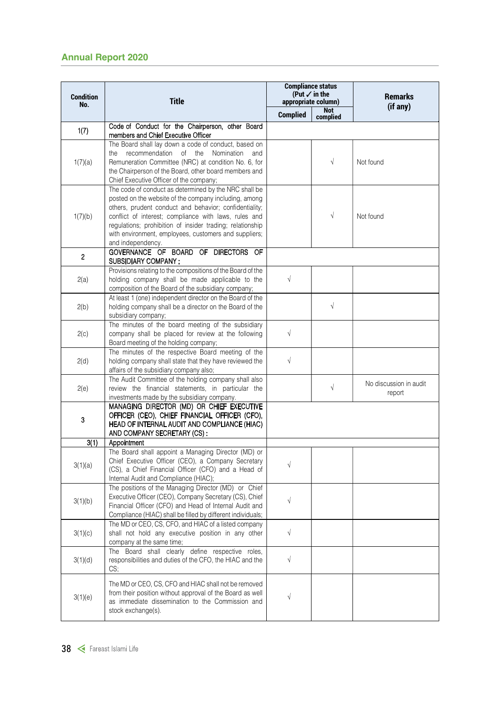| <b>Condition</b> | <b>Title</b>                                                                                                                                                                                                                                                                                                                                                                                                            |                 | <b>Compliance status</b><br>(Put $\checkmark$ in the<br>appropriate column) | <b>Remarks</b>                   |
|------------------|-------------------------------------------------------------------------------------------------------------------------------------------------------------------------------------------------------------------------------------------------------------------------------------------------------------------------------------------------------------------------------------------------------------------------|-----------------|-----------------------------------------------------------------------------|----------------------------------|
| No.              |                                                                                                                                                                                                                                                                                                                                                                                                                         | <b>Complied</b> | <b>Not</b><br>complied                                                      | (if any)                         |
| 1(7)             | Code of Conduct for the Chairperson, other Board                                                                                                                                                                                                                                                                                                                                                                        |                 |                                                                             |                                  |
| 1(7)(a)          | members and Chief Executive Officer<br>The Board shall lay down a code of conduct, based on<br>recommendation of the Nomination<br>the<br>and<br>Remuneration Committee (NRC) at condition No. 6, for<br>the Chairperson of the Board, other board members and                                                                                                                                                          |                 | $\sqrt{ }$                                                                  | Not found                        |
| 1(7)(b)          | Chief Executive Officer of the company;<br>The code of conduct as determined by the NRC shall be<br>posted on the website of the company including, among<br>others, prudent conduct and behavior; confidentiality;<br>conflict of interest; compliance with laws, rules and<br>regulations; prohibition of insider trading; relationship<br>with environment, employees, customers and suppliers;<br>and independency. |                 | $\sqrt{ }$                                                                  | Not found                        |
| $\overline{2}$   | GOVERNANCE OF BOARD OF DIRECTORS OF                                                                                                                                                                                                                                                                                                                                                                                     |                 |                                                                             |                                  |
| 2(a)             | SUBSIDIARY COMPANY :<br>Provisions relating to the compositions of the Board of the<br>holding company shall be made applicable to the<br>composition of the Board of the subsidiary company;                                                                                                                                                                                                                           | $\sqrt{ }$      |                                                                             |                                  |
| 2(b)             | At least 1 (one) independent director on the Board of the<br>holding company shall be a director on the Board of the<br>subsidiary company;                                                                                                                                                                                                                                                                             |                 | $\sqrt{ }$                                                                  |                                  |
| 2(c)             | The minutes of the board meeting of the subsidiary<br>company shall be placed for review at the following<br>Board meeting of the holding company;                                                                                                                                                                                                                                                                      | $\sqrt{ }$      |                                                                             |                                  |
| 2(d)             | The minutes of the respective Board meeting of the<br>holding company shall state that they have reviewed the<br>affairs of the subsidiary company also;                                                                                                                                                                                                                                                                | $\sqrt{ }$      |                                                                             |                                  |
| 2(e)             | The Audit Committee of the holding company shall also<br>review the financial statements, in particular the<br>investments made by the subsidiary company.                                                                                                                                                                                                                                                              |                 | $\sqrt{ }$                                                                  | No discussion in audit<br>report |
| 3                | MANAGING DIRECTOR (MD) OR CHIEF EXECUTIVE<br>OFFICER (CEO), CHIEF FINANCIAL OFFICER (CFO),<br>HEAD OF INTERNAL AUDIT AND COMPLIANCE (HIAC)<br>AND COMPANY SECRETARY (CS):                                                                                                                                                                                                                                               |                 |                                                                             |                                  |
| 3(1)             | Appointment<br>The Board shall appoint a Managing Director (MD) or                                                                                                                                                                                                                                                                                                                                                      |                 |                                                                             |                                  |
| 3(1)(a)          | Chief Executive Officer (CEO), a Company Secretary<br>(CS), a Chief Financial Officer (CFO) and a Head of<br>Internal Audit and Compliance (HIAC);                                                                                                                                                                                                                                                                      | $\sqrt{ }$      |                                                                             |                                  |
| 3(1)(b)          | The positions of the Managing Director (MD) or Chief<br>Executive Officer (CEO), Company Secretary (CS), Chief<br>Financial Officer (CFO) and Head of Internal Audit and<br>Compliance (HIAC) shall be filled by different individuals;                                                                                                                                                                                 | $\sqrt{ }$      |                                                                             |                                  |
| 3(1)(c)          | The MD or CEO, CS, CFO, and HIAC of a listed company<br>shall not hold any executive position in any other<br>company at the same time;                                                                                                                                                                                                                                                                                 | $\sqrt{ }$      |                                                                             |                                  |
| 3(1)(d)          | The Board shall clearly define respective roles,<br>responsibilities and duties of the CFO, the HIAC and the<br>CS;                                                                                                                                                                                                                                                                                                     | $\sqrt{ }$      |                                                                             |                                  |
| 3(1)(e)          | The MD or CEO, CS, CFO and HIAC shall not be removed<br>from their position without approval of the Board as well<br>as immediate dissemination to the Commission and<br>stock exchange(s).                                                                                                                                                                                                                             | $\sqrt{}$       |                                                                             |                                  |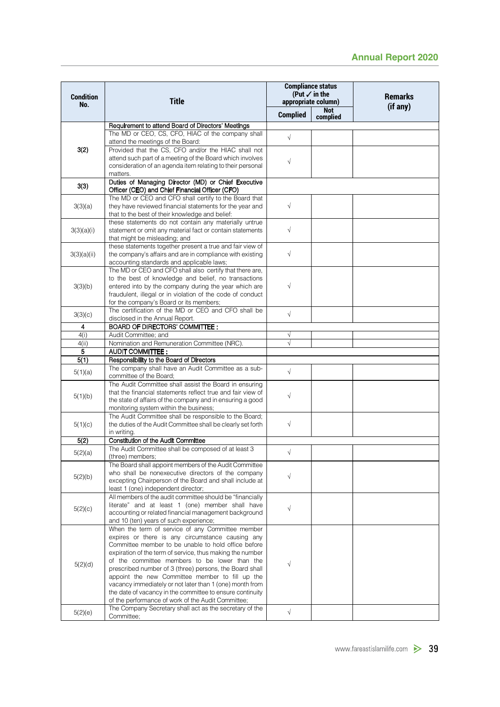|                         |                                                                                                                                                                                                                                                                                                                                                                                                                                                                                                                                                            |                                                      |                 | <b>Annual Report 2020</b>  |
|-------------------------|------------------------------------------------------------------------------------------------------------------------------------------------------------------------------------------------------------------------------------------------------------------------------------------------------------------------------------------------------------------------------------------------------------------------------------------------------------------------------------------------------------------------------------------------------------|------------------------------------------------------|-----------------|----------------------------|
|                         |                                                                                                                                                                                                                                                                                                                                                                                                                                                                                                                                                            | <b>Compliance status</b><br>(Put $\checkmark$ in the |                 |                            |
| <b>Condition</b><br>No. | <b>Title</b>                                                                                                                                                                                                                                                                                                                                                                                                                                                                                                                                               | appropriate column)                                  |                 | <b>Remarks</b><br>(if any) |
|                         |                                                                                                                                                                                                                                                                                                                                                                                                                                                                                                                                                            | <b>Complied</b>                                      | Not<br>complied |                            |
|                         | Requirement to attend Board of Directors' Meetings                                                                                                                                                                                                                                                                                                                                                                                                                                                                                                         |                                                      |                 |                            |
| 3(2)                    | The MD or CEO, CS, CFO, HIAC of the company shall<br>attend the meetings of the Board:<br>Provided that the CS, CFO and/or the HIAC shall not                                                                                                                                                                                                                                                                                                                                                                                                              | $\sqrt{}$                                            |                 |                            |
|                         | attend such part of a meeting of the Board which involves<br>consideration of an agenda item relating to their personal<br>matters.                                                                                                                                                                                                                                                                                                                                                                                                                        | $\sqrt{}$                                            |                 |                            |
| 3(3)                    | Duties of Managing Director (MD) or Chief Executive<br>Officer (CEO) and Chief Financial Officer (CFO)                                                                                                                                                                                                                                                                                                                                                                                                                                                     |                                                      |                 |                            |
| 3(3)(a)                 | The MD or CEO and CFO shall certify to the Board that<br>they have reviewed financial statements for the year and<br>that to the best of their knowledge and belief:                                                                                                                                                                                                                                                                                                                                                                                       | $\sqrt{ }$                                           |                 |                            |
| 3(3)(a)(i)              | these statements do not contain any materially untrue<br>statement or omit any material fact or contain statements<br>that might be misleading; and                                                                                                                                                                                                                                                                                                                                                                                                        | $\sqrt{}$                                            |                 |                            |
| 3(3)(a)(ii)             | these statements together present a true and fair view of<br>the company's affairs and are in compliance with existing<br>accounting standards and applicable laws;                                                                                                                                                                                                                                                                                                                                                                                        | $\sqrt{ }$                                           |                 |                            |
|                         | The MD or CEO and CFO shall also certify that there are,                                                                                                                                                                                                                                                                                                                                                                                                                                                                                                   |                                                      |                 |                            |
| 3(3)(b)                 | to the best of knowledge and belief, no transactions<br>entered into by the company during the year which are<br>fraudulent, illegal or in violation of the code of conduct                                                                                                                                                                                                                                                                                                                                                                                | $\sqrt{}$                                            |                 |                            |
| 3(3)(c)                 | for the company's Board or its members;<br>The certification of the MD or CEO and CFO shall be                                                                                                                                                                                                                                                                                                                                                                                                                                                             | $\sqrt{}$                                            |                 |                            |
| 4                       | disclosed in the Annual Report.<br><b>BOARD OF DIRECTORS' COMMITTEE:</b>                                                                                                                                                                                                                                                                                                                                                                                                                                                                                   |                                                      |                 |                            |
| 4(i)                    | Audit Committee: and                                                                                                                                                                                                                                                                                                                                                                                                                                                                                                                                       | $\sqrt{}$                                            |                 |                            |
| 4(ii)                   | Nomination and Remuneration Committee (NRC).                                                                                                                                                                                                                                                                                                                                                                                                                                                                                                               | $\sqrt{}$                                            |                 |                            |
| 5<br>5(1)               | <b>AUDIT COMMITTEE:</b><br>Responsibility to the Board of Directors                                                                                                                                                                                                                                                                                                                                                                                                                                                                                        |                                                      |                 |                            |
| 5(1)(a)                 | The company shall have an Audit Committee as a sub-<br>committee of the Board;                                                                                                                                                                                                                                                                                                                                                                                                                                                                             | $\sqrt{}$                                            |                 |                            |
| 5(1)(b)                 | The Audit Committee shall assist the Board in ensuring<br>that the financial statements reflect true and fair view of<br>the state of affairs of the company and in ensuring a good                                                                                                                                                                                                                                                                                                                                                                        | $\sqrt{}$                                            |                 |                            |
| 5(1)(c)                 | monitoring system within the business;<br>The Audit Committee shall be responsible to the Board;<br>the duties of the Audit Committee shall be clearly set forth<br>in writing.                                                                                                                                                                                                                                                                                                                                                                            | $\sqrt{ }$                                           |                 |                            |
| 5(2)                    | Constitution of the Audit Committee                                                                                                                                                                                                                                                                                                                                                                                                                                                                                                                        |                                                      |                 |                            |
| 5(2)(a)                 | The Audit Committee shall be composed of at least 3<br>(three) members;                                                                                                                                                                                                                                                                                                                                                                                                                                                                                    | $\sqrt{}$                                            |                 |                            |
| 5(2)(b)                 | The Board shall appoint members of the Audit Committee<br>who shall be nonexecutive directors of the company<br>excepting Chairperson of the Board and shall include at                                                                                                                                                                                                                                                                                                                                                                                    | $\sqrt{}$                                            |                 |                            |
| 5(2)(c)                 | least 1 (one) independent director;<br>All members of the audit committee should be "financially<br>literate" and at least 1 (one) member shall have<br>accounting or related financial management background                                                                                                                                                                                                                                                                                                                                              | $\sqrt{}$                                            |                 |                            |
| 5(2)(d)                 | and 10 (ten) years of such experience;<br>When the term of service of any Committee member<br>expires or there is any circumstance causing any<br>Committee member to be unable to hold office before<br>expiration of the term of service, thus making the number<br>of the committee members to be lower than the<br>prescribed number of 3 (three) persons, the Board shall<br>appoint the new Committee member to fill up the<br>vacancy immediately or not later than 1 (one) month from<br>the date of vacancy in the committee to ensure continuity | $\sqrt{}$                                            |                 |                            |
| 5(2)(e)                 | of the performance of work of the Audit Committee;<br>The Company Secretary shall act as the secretary of the                                                                                                                                                                                                                                                                                                                                                                                                                                              | $\sqrt{}$                                            |                 |                            |
|                         | Committee;                                                                                                                                                                                                                                                                                                                                                                                                                                                                                                                                                 |                                                      |                 |                            |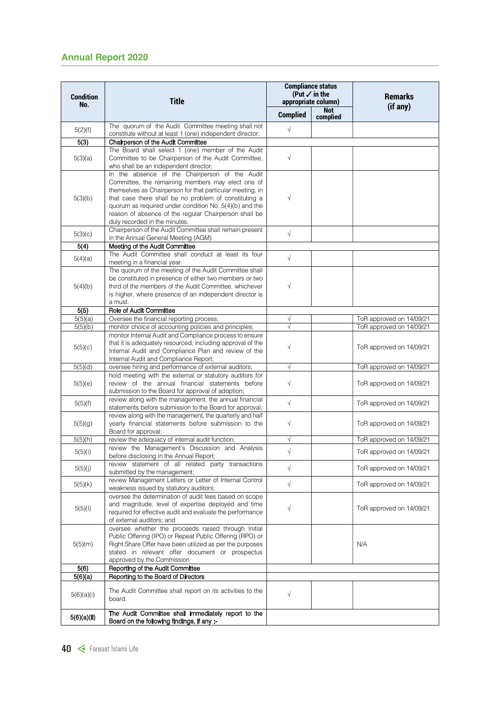| <b>Condition</b><br>No. | <b>Title</b>                                                                                                                                                                                                                                                                                                                                                                  |                 | <b>Compliance status</b><br>(Put $\checkmark$ in the<br>appropriate column) | <b>Remarks</b><br>(if any) |  |
|-------------------------|-------------------------------------------------------------------------------------------------------------------------------------------------------------------------------------------------------------------------------------------------------------------------------------------------------------------------------------------------------------------------------|-----------------|-----------------------------------------------------------------------------|----------------------------|--|
|                         |                                                                                                                                                                                                                                                                                                                                                                               | <b>Complied</b> | <b>Not</b><br>complied                                                      |                            |  |
| 5(2)(f)                 | The quorum of the Audit Committee meeting shall not<br>constitute without at least 1 (one) independent director;                                                                                                                                                                                                                                                              | $\sqrt{}$       |                                                                             |                            |  |
| 5(3)                    | Chairperson of the Audit Committee                                                                                                                                                                                                                                                                                                                                            |                 |                                                                             |                            |  |
| 5(3)(a)                 | The Board shall select 1 (one) member of the Audit<br>Committee to be Chairperson of the Audit Committee,<br>who shall be an independent director;                                                                                                                                                                                                                            | $\sqrt{ }$      |                                                                             |                            |  |
| 5(3)(b)                 | In the absence of the Chairperson of the Audit<br>Committee, the remaining members may elect one of<br>themselves as Chairperson for that particular meeting, in<br>that case there shall be no problem of constituting a<br>quorum as required under condition No. 5(4)(b) and the<br>reason of absence of the regular Chairperson shall be<br>duly recorded in the minutes. | $\sqrt{ }$      |                                                                             |                            |  |
| 5(3)(c)                 | Chairperson of the Audit Committee shall remain present<br>in the Annual General Meeting (AGM)                                                                                                                                                                                                                                                                                | $\sqrt{ }$      |                                                                             |                            |  |
| 5(4)                    | Meeting of the Audit Committee                                                                                                                                                                                                                                                                                                                                                |                 |                                                                             |                            |  |
| 5(4)(a)                 | The Audit Committee shall conduct at least its four<br>meeting in a financial year.                                                                                                                                                                                                                                                                                           | $\sqrt{ }$      |                                                                             |                            |  |
| 5(4)(b)                 | The quorum of the meeting of the Audit Committee shall<br>be constituted in presence of either two members or two<br>third of the members of the Audit Committee, whichever<br>is higher, where presence of an independent director is<br>a must.                                                                                                                             | $\sqrt{ }$      |                                                                             |                            |  |
| 5(5)                    | Role of Audit Committee                                                                                                                                                                                                                                                                                                                                                       |                 |                                                                             |                            |  |
| 5(5)(a)                 | Oversee the financial reporting process;                                                                                                                                                                                                                                                                                                                                      | $\sqrt{}$       |                                                                             | ToR approved on 14/09/21   |  |
| 5(5)(b)                 | monitor choice of accounting policies and principles;                                                                                                                                                                                                                                                                                                                         | $\sqrt{ }$      |                                                                             | ToR approved on 14/09/21   |  |
| 5(5)(c)                 | monitor Internal Audit and Compliance process to ensure<br>that it is adequately resourced, including approval of the<br>Internal Audit and Compliance Plan and review of the<br>Internal Audit and Compliance Report;                                                                                                                                                        | $\sqrt{}$       |                                                                             | ToR approved on 14/09/21   |  |
| 5(5)(d)                 | oversee hiring and performance of external auditors;                                                                                                                                                                                                                                                                                                                          | $\sqrt{ }$      |                                                                             | ToR approved on 14/09/21   |  |
| 5(5)(e)                 | hold meeting with the external or statutory auditors for<br>review of the annual financial statements before<br>submission to the Board for approval of adoption;                                                                                                                                                                                                             | $\sqrt{}$       |                                                                             | ToR approved on 14/09/21   |  |
| 5(5)(f)                 | review along with the management, the annual financial<br>statements before submission to the Board for approval;                                                                                                                                                                                                                                                             | $\sqrt{ }$      |                                                                             | ToR approved on 14/09/21   |  |
| 5(5)(g)                 | review along with the management, the quarterly and half<br>yearly financial statements before submission to the<br>Board for approval;                                                                                                                                                                                                                                       | $\sqrt{}$       |                                                                             | ToR approved on 14/09/21   |  |
| 5(5)(h)                 | review the adequacy of internal audit function;                                                                                                                                                                                                                                                                                                                               | Ν               |                                                                             | ToR approved on 14/09/21   |  |
| 5(5)(i)                 | review the Management's Discussion and Analysis<br>before disclosing in the Annual Report;                                                                                                                                                                                                                                                                                    | $\sqrt{2}$      |                                                                             | ToR approved on 14/09/21   |  |
| 5(5)(j)                 | review statement of all related party transactions<br>submitted by the management;                                                                                                                                                                                                                                                                                            | $\sqrt{}$       |                                                                             | ToR approved on 14/09/21   |  |
| 5(5)(k)                 | review Management Letters or Letter of Internal Control<br>weakness issued by statutory auditors;                                                                                                                                                                                                                                                                             | $\sqrt{ }$      |                                                                             | ToR approved on 14/09/21   |  |
| 5(5)(1)                 | oversee the determination of audit fees based on scope<br>and magnitude, level of expertise deployed and time<br>required for effective audit and evaluate the performance<br>of external auditors; and                                                                                                                                                                       | $\sqrt{}$       |                                                                             | ToR approved on 14/09/21   |  |
| 5(5)(m)                 | oversee whether the proceeds raised through Initial<br>Public Offering (IPO) or Repeat Public Offering (RPO) or<br>Right Share Offer have been utilized as per the purposes<br>stated in relevant offer document or prospectus<br>approved by the Commission                                                                                                                  |                 |                                                                             | N/A                        |  |
| 5(6)                    | Reporting of the Audit Committee                                                                                                                                                                                                                                                                                                                                              |                 |                                                                             |                            |  |
| 5(6)(a)                 | Reporting to the Board of Directors                                                                                                                                                                                                                                                                                                                                           |                 |                                                                             |                            |  |
| 5(6)(a)(i)              | The Audit Committee shall report on its activities to the<br>board.                                                                                                                                                                                                                                                                                                           | $\sqrt{}$       |                                                                             |                            |  |
| 5(6)(a)(ii)             | The Audit Committee shall immediately report to the<br>Board on the following findings, if any :-                                                                                                                                                                                                                                                                             |                 |                                                                             |                            |  |
|                         |                                                                                                                                                                                                                                                                                                                                                                               |                 |                                                                             |                            |  |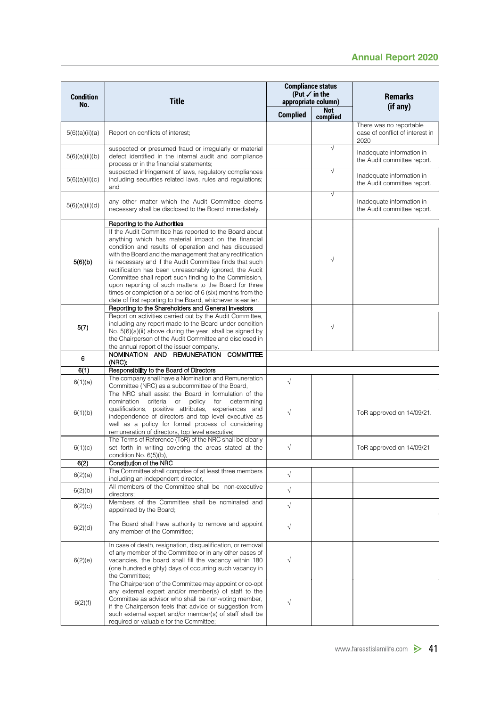| <b>Condition</b><br>No. | <b>Title</b>                                                                                                                                                                                                                                                                                                                                                                                                                                                                                                                                                                                                                           | appropriate column) | <b>Compliance status</b><br>(Put $\checkmark$ in the | <b>Remarks</b>                                                     |
|-------------------------|----------------------------------------------------------------------------------------------------------------------------------------------------------------------------------------------------------------------------------------------------------------------------------------------------------------------------------------------------------------------------------------------------------------------------------------------------------------------------------------------------------------------------------------------------------------------------------------------------------------------------------------|---------------------|------------------------------------------------------|--------------------------------------------------------------------|
|                         |                                                                                                                                                                                                                                                                                                                                                                                                                                                                                                                                                                                                                                        | <b>Complied</b>     | <b>Not</b><br>complied                               | (if any)                                                           |
| 5(6)(a)(ii)(a)          | Report on conflicts of interest;                                                                                                                                                                                                                                                                                                                                                                                                                                                                                                                                                                                                       |                     |                                                      | There was no reportable<br>case of conflict of interest in<br>2020 |
| 5(6)(a)(ii)(b)          | suspected or presumed fraud or irregularly or material<br>defect identified in the internal audit and compliance<br>process or in the financial statements;                                                                                                                                                                                                                                                                                                                                                                                                                                                                            |                     | $\sqrt{}$                                            | Inadequate information in<br>the Audit committee report.           |
| 5(6)(a)(ii)(c)          | suspected infringement of laws, regulatory compliances<br>including securities related laws, rules and regulations;<br>and                                                                                                                                                                                                                                                                                                                                                                                                                                                                                                             |                     | $\sqrt{}$                                            | Inadequate information in<br>the Audit committee report.           |
| 5(6)(a)(ii)(d)          | any other matter which the Audit Committee deems<br>necessary shall be disclosed to the Board immediately.                                                                                                                                                                                                                                                                                                                                                                                                                                                                                                                             |                     | $\sqrt{}$                                            | Inadequate information in<br>the Audit committee report.           |
| 5(6)(b)                 | Reporting to the Authorities<br>If the Audit Committee has reported to the Board about<br>anything which has material impact on the financial<br>condition and results of operation and has discussed<br>with the Board and the management that any rectification<br>is necessary and if the Audit Committee finds that such<br>rectification has been unreasonably ignored, the Audit<br>Committee shall report such finding to the Commission,<br>upon reporting of such matters to the Board for three<br>times or completion of a period of 6 (six) months from the<br>date of first reporting to the Board, whichever is earlier. |                     | $\sqrt{}$                                            |                                                                    |
| 5(7)                    | Reporting to the Shareholders and General Investors<br>Report on activities carried out by the Audit Committee,<br>including any report made to the Board under condition<br>No. 5(6)(a)(ii) above during the year, shall be signed by<br>the Chairperson of the Audit Committee and disclosed in<br>the annual report of the issuer company.                                                                                                                                                                                                                                                                                          |                     | $\sqrt{}$                                            |                                                                    |
| 6                       | NOMINATION AND REMUNERATION COMMITTEE<br>(NRC):                                                                                                                                                                                                                                                                                                                                                                                                                                                                                                                                                                                        |                     |                                                      |                                                                    |
| 6(1)                    | Responsibility to the Board of Directors                                                                                                                                                                                                                                                                                                                                                                                                                                                                                                                                                                                               |                     |                                                      |                                                                    |
| 6(1)(a)                 | The company shall have a Nomination and Remuneration<br>Committee (NRC) as a subcommittee of the Board,                                                                                                                                                                                                                                                                                                                                                                                                                                                                                                                                | $\sqrt{}$           |                                                      |                                                                    |
| 6(1)(b)                 | The NRC shall assist the Board in formulation of the<br>nomination<br>criteria<br>or<br>policy<br>for<br>determining<br>qualifications, positive attributes, experiences and<br>independence of directors and top level executive as<br>well as a policy for formal process of considering<br>remuneration of directors, top level executive;                                                                                                                                                                                                                                                                                          | $\sqrt{ }$          |                                                      | ToR approved on 14/09/21.                                          |
| 6(1)(c)                 | The Terms of Reference (ToR) of the NRC shall be clearly<br>set forth in writing covering the areas stated at the<br>condition No. 6(5)(b),                                                                                                                                                                                                                                                                                                                                                                                                                                                                                            | $\sqrt{}$           |                                                      | ToR approved on 14/09/21                                           |
| 6(2)                    | Constitution of the NRC                                                                                                                                                                                                                                                                                                                                                                                                                                                                                                                                                                                                                |                     |                                                      |                                                                    |
| 6(2)(a)                 | The Committee shall comprise of at least three members<br>including an independent director,                                                                                                                                                                                                                                                                                                                                                                                                                                                                                                                                           | $\sqrt{}$           |                                                      |                                                                    |
| 6(2)(b)                 | All members of the Committee shall be non-executive<br>directors;                                                                                                                                                                                                                                                                                                                                                                                                                                                                                                                                                                      | $\sqrt{}$           |                                                      |                                                                    |
| 6(2)(c)                 | Members of the Committee shall be nominated and<br>appointed by the Board;                                                                                                                                                                                                                                                                                                                                                                                                                                                                                                                                                             | $\sqrt{ }$          |                                                      |                                                                    |
| 6(2)(d)                 | The Board shall have authority to remove and appoint<br>any member of the Committee;                                                                                                                                                                                                                                                                                                                                                                                                                                                                                                                                                   | $\sqrt{}$           |                                                      |                                                                    |
| 6(2)(e)                 | In case of death, resignation, disqualification, or removal<br>of any member of the Committee or in any other cases of<br>vacancies, the board shall fill the vacancy within 180<br>(one hundred eighty) days of occurring such vacancy in<br>the Committee;                                                                                                                                                                                                                                                                                                                                                                           | $\sqrt{}$           |                                                      |                                                                    |
| 6(2)(f)                 | The Chairperson of the Committee may appoint or co-opt<br>any external expert and/or member(s) of staff to the<br>Committee as advisor who shall be non-voting member,<br>if the Chairperson feels that advice or suggestion from<br>such external expert and/or member(s) of staff shall be<br>required or valuable for the Committee;                                                                                                                                                                                                                                                                                                | $\sqrt{}$           |                                                      |                                                                    |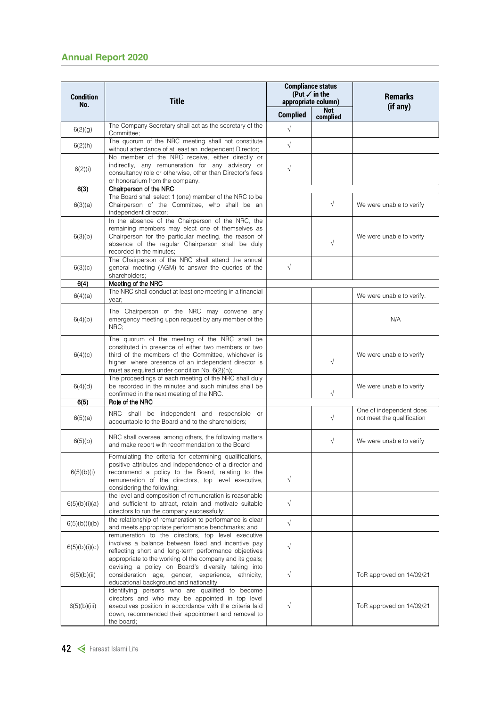|                         | <b>Annual Report 2020</b>                                                                                                                                                                                                                                             |                 |                                                                             |                                                       |
|-------------------------|-----------------------------------------------------------------------------------------------------------------------------------------------------------------------------------------------------------------------------------------------------------------------|-----------------|-----------------------------------------------------------------------------|-------------------------------------------------------|
| <b>Condition</b><br>No. | <b>Title</b>                                                                                                                                                                                                                                                          |                 | <b>Compliance status</b><br>(Put $\checkmark$ in the<br>appropriate column) | <b>Remarks</b><br>(if any)                            |
|                         |                                                                                                                                                                                                                                                                       | <b>Complied</b> | <b>Not</b><br>complied                                                      |                                                       |
| 6(2)(g)                 | The Company Secretary shall act as the secretary of the<br>Committee:                                                                                                                                                                                                 | $\sqrt{ }$      |                                                                             |                                                       |
| 6(2)(h)                 | The quorum of the NRC meeting shall not constitute<br>without attendance of at least an Independent Director;                                                                                                                                                         | $\sqrt{ }$      |                                                                             |                                                       |
| 6(2)(i)                 | No member of the NRC receive, either directly or<br>indirectly, any remuneration for any advisory or<br>consultancy role or otherwise, other than Director's fees<br>or honorarium from the company.                                                                  | $\sqrt{ }$      |                                                                             |                                                       |
| 6(3)                    | Chairperson of the NRC                                                                                                                                                                                                                                                |                 |                                                                             |                                                       |
| 6(3)(a)                 | The Board shall select 1 (one) member of the NRC to be<br>Chairperson of the Committee, who shall be an<br>independent director;                                                                                                                                      |                 | $\sqrt{ }$                                                                  | We were unable to verify                              |
| 6(3)(b)                 | In the absence of the Chairperson of the NRC, the<br>remaining members may elect one of themselves as<br>Chairperson for the particular meeting, the reason of<br>absence of the regular Chairperson shall be duly<br>recorded in the minutes;                        |                 | $\sqrt{ }$                                                                  | We were unable to verify                              |
| 6(3)(c)                 | The Chairperson of the NRC shall attend the annual<br>general meeting (AGM) to answer the queries of the<br>shareholders;                                                                                                                                             | $\sqrt{ }$      |                                                                             |                                                       |
| 6(4)                    | Meeting of the NRC                                                                                                                                                                                                                                                    |                 |                                                                             |                                                       |
| 6(4)(a)                 | The NRC shall conduct at least one meeting in a financial<br>year:                                                                                                                                                                                                    |                 |                                                                             | We were unable to verify.                             |
| 6(4)(b)                 | The Chairperson of the NRC may convene any<br>emergency meeting upon request by any member of the<br>NRC:                                                                                                                                                             |                 |                                                                             | N/A                                                   |
| 6(4)(c)                 | The quorum of the meeting of the NRC shall be<br>constituted in presence of either two members or two<br>third of the members of the Committee, whichever is<br>higher, where presence of an independent director is<br>must as required under condition No. 6(2)(h); |                 | $\sqrt{ }$                                                                  | We were unable to verify                              |
| 6(4)(d)                 | The proceedings of each meeting of the NRC shall duly<br>be recorded in the minutes and such minutes shall be<br>confirmed in the next meeting of the NRC.                                                                                                            |                 | $\sqrt{ }$                                                                  | We were unable to verify                              |
| 6(5)                    | Role of the NRC                                                                                                                                                                                                                                                       |                 |                                                                             |                                                       |
| 6(5)(a)                 | NRC shall be independent and responsible or<br>accountable to the Board and to the shareholders;                                                                                                                                                                      |                 | $\sqrt{ }$                                                                  | One of independent does<br>not meet the qualification |
| 6(5)(b)                 | NRC shall oversee, among others, the following matters<br>and make report with recommendation to the Board                                                                                                                                                            |                 | $\sqrt{ }$                                                                  | We were unable to verify                              |
| 6(5)(b)(i)              | Formulating the criteria for determining qualifications,<br>positive attributes and independence of a director and<br>recommend a policy to the Board, relating to the<br>remuneration of the directors, top level executive,<br>considering the following:           | $\sqrt{ }$      |                                                                             |                                                       |
| 6(5)(b)(i)(a)           | the level and composition of remuneration is reasonable<br>and sufficient to attract, retain and motivate suitable<br>directors to run the company successfully;                                                                                                      | $\sqrt{ }$      |                                                                             |                                                       |
| 6(5)(b)(i)(b)           | the relationship of remuneration to performance is clear<br>and meets appropriate performance benchmarks; and                                                                                                                                                         | $\sqrt{ }$      |                                                                             |                                                       |
| 6(5)(b)(i)(c)           | remuneration to the directors, top level executive<br>involves a balance between fixed and incentive pay<br>reflecting short and long-term performance objectives<br>appropriate to the working of the company and its goals;                                         | $\sqrt{ }$      |                                                                             |                                                       |
| 6(5)(b)(ii)             | devising a policy on Board's diversity taking into<br>consideration age, gender, experience, ethnicity,<br>educational background and nationality;                                                                                                                    | $\sqrt{ }$      |                                                                             | ToR approved on 14/09/21                              |
| 6(5)(b)(iii)            | identifying persons who are qualified to become<br>directors and who may be appointed in top level<br>executives position in accordance with the criteria laid<br>down, recommended their appointment and removal to<br>the board;                                    | $\sqrt{ }$      |                                                                             | ToR approved on 14/09/21                              |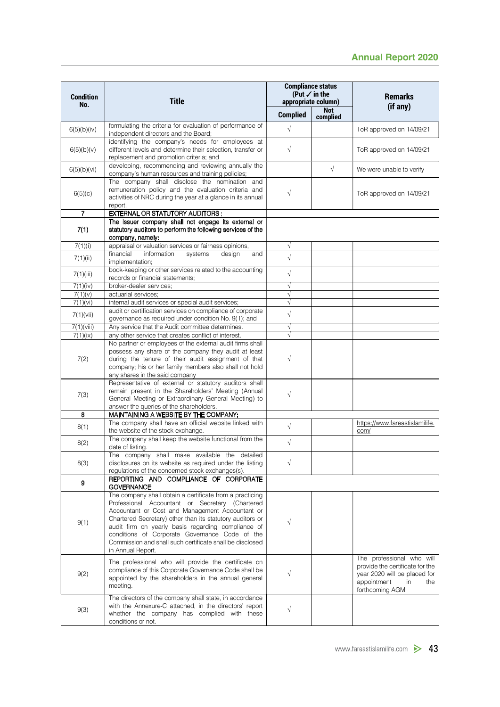|                         |                                                                                                                                                                                                                                                                                                                                                                                                                      | <b>Compliance status</b>                        |                 |                                                                                                                                             |
|-------------------------|----------------------------------------------------------------------------------------------------------------------------------------------------------------------------------------------------------------------------------------------------------------------------------------------------------------------------------------------------------------------------------------------------------------------|-------------------------------------------------|-----------------|---------------------------------------------------------------------------------------------------------------------------------------------|
| <b>Condition</b><br>No. | <b>Title</b>                                                                                                                                                                                                                                                                                                                                                                                                         | (Put $\checkmark$ in the<br>appropriate column) |                 | <b>Remarks</b><br>(if any)                                                                                                                  |
|                         |                                                                                                                                                                                                                                                                                                                                                                                                                      | <b>Complied</b>                                 | Not<br>complied |                                                                                                                                             |
| 6(5)(b)(iv)             | formulating the criteria for evaluation of performance of<br>independent directors and the Board;                                                                                                                                                                                                                                                                                                                    | $\sqrt{ }$                                      |                 | ToR approved on 14/09/21                                                                                                                    |
| 6(5)(b)(v)              | identifying the company's needs for employees at<br>different levels and determine their selection, transfer or<br>replacement and promotion criteria; and                                                                                                                                                                                                                                                           | $\sqrt{ }$                                      |                 | ToR approved on 14/09/21                                                                                                                    |
| 6(5)(b)(vi)             | developing, recommending and reviewing annually the<br>company's human resources and training policies;                                                                                                                                                                                                                                                                                                              |                                                 | $\sqrt{ }$      | We were unable to verify                                                                                                                    |
| 6(5)(c)                 | The company shall disclose the nomination and<br>remuneration policy and the evaluation criteria and<br>activities of NRC during the year at a glance in its annual                                                                                                                                                                                                                                                  | $\sqrt{}$                                       |                 | ToR approved on 14/09/21                                                                                                                    |
| $\overline{7}$          | report.<br><b>EXTERNAL OR STATUTORY AUDITORS:</b>                                                                                                                                                                                                                                                                                                                                                                    |                                                 |                 |                                                                                                                                             |
| 7(1)                    | The issuer company shall not engage its external or<br>statutory auditors to perform the following services of the<br>company, namely:                                                                                                                                                                                                                                                                               |                                                 |                 |                                                                                                                                             |
| 7(1)(i)                 | appraisal or valuation services or fairness opinions,                                                                                                                                                                                                                                                                                                                                                                | $\sqrt{ }$                                      |                 |                                                                                                                                             |
| 7(1)(ii)                | financial<br>information<br>systems<br>design<br>and<br>implementation;<br>book-keeping or other services related to the accounting                                                                                                                                                                                                                                                                                  | $\sqrt{ }$                                      |                 |                                                                                                                                             |
| 7(1)(iii)               | records or financial statements;                                                                                                                                                                                                                                                                                                                                                                                     | $\sqrt{ }$                                      |                 |                                                                                                                                             |
| 7(1)(iv)                | broker-dealer services;                                                                                                                                                                                                                                                                                                                                                                                              | $\sqrt{ }$<br>$\sqrt{}$                         |                 |                                                                                                                                             |
| 7(1)(v)<br>7(1)(vi)     | actuarial services;<br>internal audit services or special audit services;                                                                                                                                                                                                                                                                                                                                            | $\sqrt{ }$                                      |                 |                                                                                                                                             |
| 7(1)(iii)               | audit or certification services on compliance of corporate<br>governance as required under condition No. 9(1); and                                                                                                                                                                                                                                                                                                   | $\sqrt{ }$                                      |                 |                                                                                                                                             |
| $7(1)(\n$               | Any service that the Audit committee determines.                                                                                                                                                                                                                                                                                                                                                                     | $\sqrt{}$<br>$\sqrt{ }$                         |                 |                                                                                                                                             |
| 7(1)(ix)<br>7(2)        | any other service that creates conflict of interest.<br>No partner or employees of the external audit firms shall<br>possess any share of the company they audit at least<br>during the tenure of their audit assignment of that<br>company; his or her family members also shall not hold<br>any shares in the said company                                                                                         | $\sqrt{ }$                                      |                 |                                                                                                                                             |
| 7(3)                    | Representative of external or statutory auditors shall<br>remain present in the Shareholders' Meeting (Annual<br>General Meeting or Extraordinary General Meeting) to<br>answer the queries of the shareholders.                                                                                                                                                                                                     | $\sqrt{}$                                       |                 |                                                                                                                                             |
| 8                       | MAINTAINING A WEBSITE BY THE COMPANY:                                                                                                                                                                                                                                                                                                                                                                                |                                                 |                 |                                                                                                                                             |
| 8(1)                    | The company shall have an official website linked with<br>the website of the stock exchange.                                                                                                                                                                                                                                                                                                                         | $\sqrt{ }$                                      |                 | https://www.fareastislamilife.<br>com/                                                                                                      |
| 8(2)                    | The company shall keep the website functional from the<br>date of listing.                                                                                                                                                                                                                                                                                                                                           | $\sqrt{ }$                                      |                 |                                                                                                                                             |
| 8(3)                    | The company shall make available the detailed<br>disclosures on its website as required under the listing<br>regulations of the concerned stock exchanges(s).                                                                                                                                                                                                                                                        | $\sqrt{ }$                                      |                 |                                                                                                                                             |
| 9                       | REPORTING AND COMPLIANCE OF CORPORATE<br><b>GOVERNANCE:</b>                                                                                                                                                                                                                                                                                                                                                          |                                                 |                 |                                                                                                                                             |
| 9(1)                    | The company shall obtain a certificate from a practicing<br>Professional Accountant or Secretary (Chartered<br>Accountant or Cost and Management Accountant or<br>Chartered Secretary) other than its statutory auditors or<br>audit firm on yearly basis regarding compliance of<br>conditions of Corporate Governance Code of the<br>Commission and shall such certificate shall be disclosed<br>in Annual Report. | $\sqrt{}$                                       |                 |                                                                                                                                             |
| 9(2)                    | The professional who will provide the certificate on<br>compliance of this Corporate Governance Code shall be<br>appointed by the shareholders in the annual general<br>meeting.                                                                                                                                                                                                                                     | $\sqrt{ }$                                      |                 | The professional who will<br>provide the certificate for the<br>year 2020 will be placed for<br>appointment<br>in<br>the<br>forthcoming AGM |
| 9(3)                    | The directors of the company shall state, in accordance<br>with the Annexure-C attached, in the directors' report<br>whether the company has complied with these<br>conditions or not.                                                                                                                                                                                                                               | $\sqrt{ }$                                      |                 |                                                                                                                                             |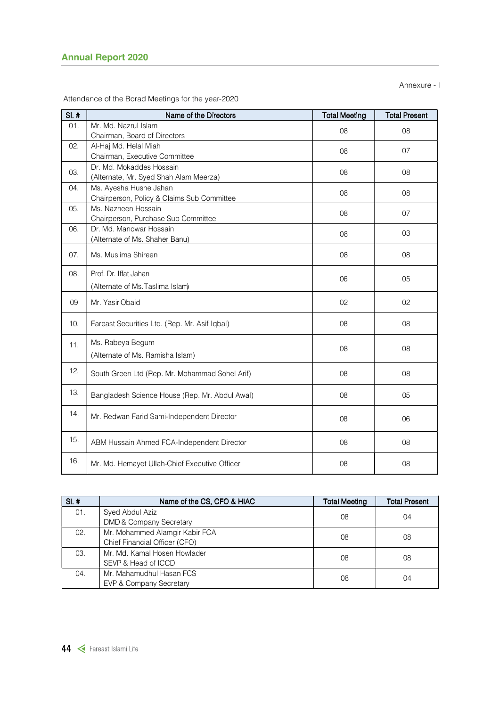|                | <b>Annual Report 2020</b>                                            |                      | Annexure - I         |
|----------------|----------------------------------------------------------------------|----------------------|----------------------|
|                | Attendance of the Borad Meetings for the year-2020                   |                      |                      |
| $SI.$ #<br>01. | Name of the Directors<br>Mr. Md. Nazrul Islam                        | <b>Total Meeting</b> | <b>Total Present</b> |
|                | Chairman, Board of Directors                                         | $08\,$               | $08\,$               |
| 02.            | Al-Haj Md. Helal Miah<br>Chairman, Executive Committee               | 08                   | 07                   |
| 03.            | Dr. Md. Mokaddes Hossain<br>(Alternate, Mr. Syed Shah Alam Meerza)   | 08                   | 08                   |
| 04.            | Ms. Ayesha Husne Jahan<br>Chairperson, Policy & Claims Sub Committee | 08                   | 08                   |
| 05.            | Ms. Nazneen Hossain<br>Chairperson, Purchase Sub Committee           | 08                   | 07                   |
| 06.            | Dr. Md. Manowar Hossain<br>(Alternate of Ms. Shaher Banu)            | 08                   | 03                   |
| 07.            | Ms. Muslima Shireen                                                  | 08                   | 08                   |
| 08.            | Prof. Dr. Iffat Jahan                                                | 06                   | 05                   |
|                | (Alternate of Ms. Taslima Islam)                                     |                      |                      |
| 09             | Mr. Yasir Obaid                                                      | 02                   | 02                   |
| 10.            | Fareast Securities Ltd. (Rep. Mr. Asif Iqbal)                        | 08                   | $08\,$               |
| 11.            | Ms. Rabeya Begum<br>(Alternate of Ms. Ramisha Islam)                 | $08\,$               | 08                   |
| 12.            | South Green Ltd (Rep. Mr. Mohammad Sohel Arif)                       | $08\,$               | 08                   |
| 13.            | Bangladesh Science House (Rep. Mr. Abdul Awal)                       | $08\,$               | 05                   |
| 14.            | Mr. Redwan Farid Sami-Independent Director                           | $08\,$               | $06\,$               |
| 15.            | ABM Hussain Ahmed FCA-Independent Director                           | 08                   | 08                   |
| 16.            | Mr. Md. Hemayet Ullah-Chief Executive Officer                        | 08                   | 08                   |
|                |                                                                      |                      |                      |
| $SI.$ #        | Name of the CS, CFO & HIAC                                           | <b>Total Meeting</b> | <b>Total Present</b> |
| 01.            | Syed Abdul Aziz<br>DMD & Company Secretary                           | 08                   | 04                   |
| 02.            | Mr. Mohammed Alamgir Kabir FCA<br>Chief Financial Officer (CFO)      | 08                   | 08                   |
| 03.            | Mr. Md. Kamal Hosen Howlader<br>SEVP & Head of ICCD                  | 08                   | $08\,$               |
|                |                                                                      |                      |                      |

| $SI.$ # | Name of the CS, CFO & HIAC     | <b>Total Meeting</b> | <b>Total Present</b> |  |
|---------|--------------------------------|----------------------|----------------------|--|
| 01.     | Syed Abdul Aziz                | 08                   | 04                   |  |
|         | DMD & Company Secretary        |                      |                      |  |
| 02.     | Mr. Mohammed Alamgir Kabir FCA | 08                   | 08                   |  |
|         | Chief Financial Officer (CFO)  |                      |                      |  |
| 03.     | Mr. Md. Kamal Hosen Howlader   | 08                   |                      |  |
|         | SEVP & Head of ICCD            |                      | 08                   |  |
| 04.     | Mr. Mahamudhul Hasan FCS       | 08                   |                      |  |
|         | EVP & Company Secretary        |                      | 04                   |  |